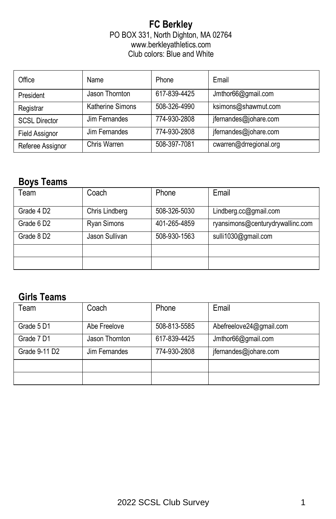#### **FC Berkley** PO BOX 331, North Dighton, MA 02764 www.berkleyathletics.com Club colors: Blue and White

| Office               | Name                    | Phone        | Email                  |
|----------------------|-------------------------|--------------|------------------------|
| President            | Jason Thornton          | 617-839-4425 | Jmthor66@gmail.com     |
| Registrar            | <b>Katherine Simons</b> | 508-326-4990 | ksimons@shawmut.com    |
| <b>SCSL Director</b> | Jim Fernandes           | 774-930-2808 | jfernandes@johare.com  |
| Field Assignor       | Jim Fernandes           | 774-930-2808 | jfernandes@johare.com  |
| Referee Assignor     | Chris Warren            | 508-397-7081 | cwarren@drregional.org |

## **Boys Teams**

| Team                   | Coach          | Phone        | Email                            |
|------------------------|----------------|--------------|----------------------------------|
| Grade 4 D <sub>2</sub> | Chris Lindberg | 508-326-5030 | Lindberg.cc@gmail.com            |
| Grade 6D2              | Ryan Simons    | 401-265-4859 | ryansimons@centurydrywallinc.com |
| Grade 8D <sub>2</sub>  | Jason Sullivan | 508-930-1563 | sulli1030@gmail.com              |
|                        |                |              |                                  |
|                        |                |              |                                  |

| Team                      | Coach          | Phone        | Email                   |
|---------------------------|----------------|--------------|-------------------------|
| Grade 5 D1                | Abe Freelove   | 508-813-5585 | Abefreelove24@gmail.com |
| Grade 7D1                 | Jason Thornton | 617-839-4425 | Jmthor66@gmail.com      |
| Grade 9-11 D <sub>2</sub> | Jim Fernandes  | 774-930-2808 | jfernandes@johare.com   |
|                           |                |              |                         |
|                           |                |              |                         |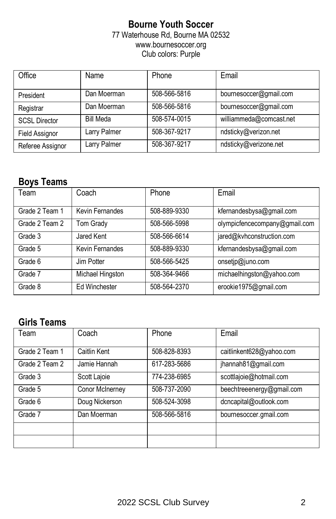#### **Bourne Youth Soccer** 77 Waterhouse Rd, Bourne MA 02532 www.bournesoccer.org Club colors: Purple

| Office               | Name             | Phone        | Email                   |
|----------------------|------------------|--------------|-------------------------|
|                      |                  |              |                         |
| President            | Dan Moerman      | 508-566-5816 | bournesoccer@gmail.com  |
| Registrar            | Dan Moerman      | 508-566-5816 | bournesoccer@gmail.com  |
| <b>SCSL Director</b> | <b>Bill Meda</b> | 508-574-0015 | williammeda@comcast.net |
| Field Assignor       | Larry Palmer     | 508-367-9217 | ndsticky@verizon.net    |
| Referee Assignor     | Larry Palmer     | 508-367-9217 | ndsticky@verizone.net   |

### **Boys Teams**

| Team           | Coach                | Phone        | Email                         |
|----------------|----------------------|--------------|-------------------------------|
| Grade 2 Team 1 | Kevin Fernandes      | 508-889-9330 | kfernandesbysa@gmail.com      |
| Grade 2 Team 2 | Tom Grady            | 508-566-5998 | olympicfencecompany@gmail.com |
| Grade 3        | Jared Kent           | 508-566-6614 | jared@kvhconstruction.com     |
| Grade 5        | Kevin Fernandes      | 508-889-9330 | kfernandesbysa@gmail.com      |
| Grade 6        | Jim Potter           | 508-566-5425 | onsetjp@juno.com              |
| Grade 7        | Michael Hingston     | 508-364-9466 | michaelhingston@yahoo.com     |
| Grade 8        | <b>Ed Winchester</b> | 508-564-2370 | erookie1975@gmail.com         |

| Team           | Coach           | Phone        | Email                     |
|----------------|-----------------|--------------|---------------------------|
| Grade 2 Team 1 | Caitlin Kent    | 508-828-8393 | caitlinkent628@yahoo.com  |
| Grade 2 Team 2 | Jamie Hannah    | 617-283-5686 | jhannah81@gmail.com       |
| Grade 3        | Scott Lajoie    | 774-238-6985 | scottlajoie@hotmail.com   |
| Grade 5        | Conor McInerney | 508-737-2090 | beechtreeenergy@gmail.com |
| Grade 6        | Doug Nickerson  | 508-524-3098 | dcncapital@outlook.com    |
| Grade 7        | Dan Moerman     | 508-566-5816 | bournesoccer.gmail.com    |
|                |                 |              |                           |
|                |                 |              |                           |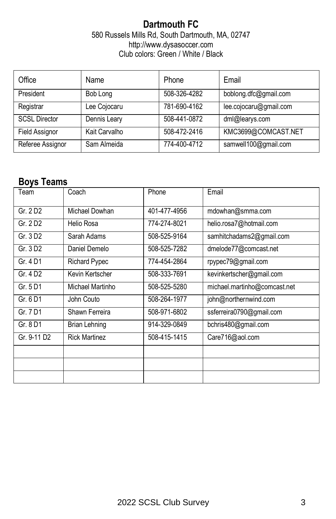#### **Dartmouth FC** 580 Russels Mills Rd, South Dartmouth, MA, 02747 http://www.dysasoccer.com Club colors: Green / White / Black

| Office               | Name          | Phone        | Email                  |
|----------------------|---------------|--------------|------------------------|
| President            | Bob Long      | 508-326-4282 | boblong.dfc@gmail.com  |
| Registrar            | Lee Cojocaru  | 781-690-4162 | lee.cojocaru@gmail.com |
| <b>SCSL Director</b> | Dennis Leary  | 508-441-0872 | dml@learys.com         |
| Field Assignor       | Kait Carvalho | 508-472-2416 | KMC3699@COMCAST.NET    |
| Referee Assignor     | Sam Almeida   | 774-400-4712 | samwell100@gmail.com   |

### **Boys Teams**

| Team        | Coach                | Phone        | Email                        |
|-------------|----------------------|--------------|------------------------------|
| Gr. 2D2     | Michael Dowhan       | 401-477-4956 | mdowhan@smma.com             |
| Gr. 2D2     | Helio Rosa           | 774-274-8021 | helio.rosa7@hotmail.com      |
| Gr. 3 D2    | Sarah Adams          | 508-525-9164 | samhitchadams2@gmail.com     |
| Gr. 3 D2    | Daniel Demelo        | 508-525-7282 | dmelode77@comcast.net        |
| Gr. 4 D1    | Richard Pypec        | 774-454-2864 | rpypec79@gmail.com           |
| Gr. 4 D2    | Kevin Kertscher      | 508-333-7691 | kevinkertscher@gmail.com     |
| Gr. 5 D1    | Michael Martinho     | 508-525-5280 | michael.martinho@comcast.net |
| Gr. 6 D1    | John Couto           | 508-264-1977 | john@northernwind.com        |
| Gr. 7 D1    | Shawn Ferreira       | 508-971-6802 | ssferreira0790@gmail.com     |
| Gr. 8 D1    | <b>Brian Lehning</b> | 914-329-0849 | bchris480@gmail.com          |
| Gr. 9-11 D2 | <b>Rick Martinez</b> | 508-415-1415 | Care716@aol.com              |
|             |                      |              |                              |
|             |                      |              |                              |
|             |                      |              |                              |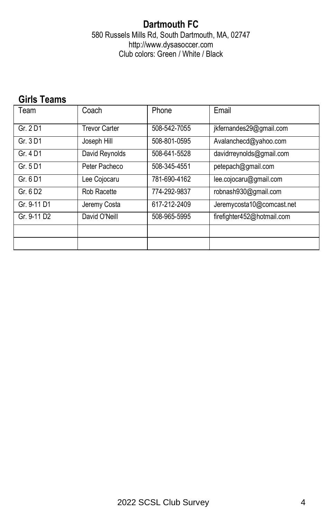#### **Dartmouth FC** 580 Russels Mills Rd, South Dartmouth, MA, 02747 http://www.dysasoccer.com Club colors: Green / White / Black

| Team                    | Coach                | Phone        | Email                      |
|-------------------------|----------------------|--------------|----------------------------|
| Gr. 2 D1                | <b>Trevor Carter</b> | 508-542-7055 | jkfernandes29@gmail.com    |
| Gr. 3 D1                | Joseph Hill          | 508-801-0595 | Avalanchecd@yahoo.com      |
| Gr. 4 D1                | David Reynolds       | 508-641-5528 | davidrreynolds@gmail.com   |
| Gr. 5 D1                | Peter Pacheco        | 508-345-4551 | petepach@gmail.com         |
| Gr. 6 D1                | Lee Cojocaru         | 781-690-4162 | lee.cojocaru@gmail.com     |
| Gr. 6 D <sub>2</sub>    | Rob Racette          | 774-292-9837 | robnash930@gmail.com       |
| Gr. 9-11 D1             | Jeremy Costa         | 617-212-2409 | Jeremycosta10@comcast.net  |
| Gr. 9-11 D <sub>2</sub> | David O'Neill        | 508-965-5995 | firefighter452@hotmail.com |
|                         |                      |              |                            |
|                         |                      |              |                            |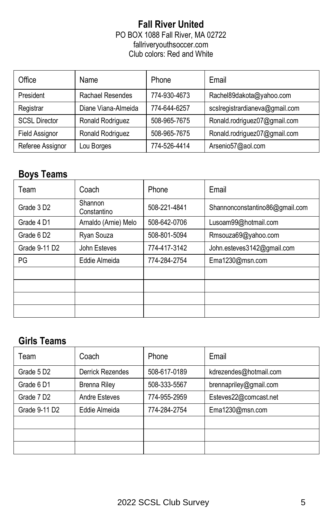#### **Fall River United** PO BOX 1088 Fall River, MA 02722 fallriveryouthsoccer.com Club colors: Red and White

| Office               | Name                | Phone        | Email                          |
|----------------------|---------------------|--------------|--------------------------------|
| President            | Rachael Resendes    | 774-930-4673 | Rachel89dakota@yahoo.com       |
| Registrar            | Diane Viana-Almeida | 774-644-6257 | scslregistrardianeva@gmail.com |
| <b>SCSL Director</b> | Ronald Rodriguez    | 508-965-7675 | Ronald.rodriguez07@gmail.com   |
| Field Assignor       | Ronald Rodriguez    | 508-965-7675 | Ronald.rodriguez07@gmail.com   |
| Referee Assignor     | Lou Borges          | 774-526-4414 | Arsenio57@aol.com              |

### **Boys Teams**

| Team                  | Coach                  | Phone        | Email                          |
|-----------------------|------------------------|--------------|--------------------------------|
| Grade 3D <sub>2</sub> | Shannon<br>Constantino | 508-221-4841 | Shannonconstantino86@gmail.com |
| Grade 4 D1            | Arnaldo (Arnie) Melo   | 508-642-0706 | Lusoam99@hotmail.com           |
| Grade 6D2             | Ryan Souza             | 508-801-5094 | Rmsouza69@yahoo.com            |
| Grade 9-11 D2         | John Esteves           | 774-417-3142 | John.esteves3142@gmail.com     |
| PG                    | Eddie Almeida          | 774-284-2754 | Ema1230@msn.com                |
|                       |                        |              |                                |
|                       |                        |              |                                |
|                       |                        |              |                                |
|                       |                        |              |                                |

| Team                  | Coach                | Phone        | Email                  |
|-----------------------|----------------------|--------------|------------------------|
| Grade 5D <sub>2</sub> | Derrick Rezendes     | 508-617-0189 | kdrezendes@hotmail.com |
| Grade 6D1             | <b>Brenna Riley</b>  | 508-333-5567 | brennapriley@gmail.com |
| Grade 7D <sub>2</sub> | <b>Andre Esteves</b> | 774-955-2959 | Esteves22@comcast.net  |
| Grade 9-11 D2         | Eddie Almeida        | 774-284-2754 | Ema1230@msn.com        |
|                       |                      |              |                        |
|                       |                      |              |                        |
|                       |                      |              |                        |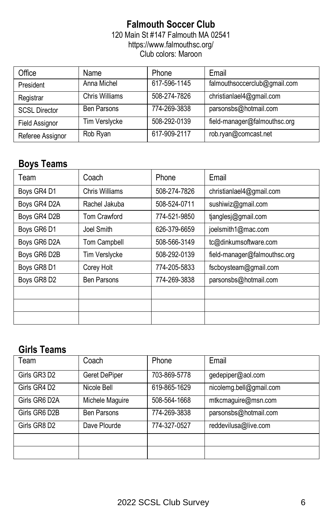#### **Falmouth Soccer Club** 120 Main St #147 Falmouth MA 02541 https://www.falmouthsc.org/ Club colors: Maroon

Office | Name | Phone | Email President Anna Michel 617-596-1145 falmouthsoccerclub@gmail.com Registrar Chris Williams 508-274-7826 christianlael4@gmail.com SCSL Director Ben Parsons 774-269-3838 parsonsbs@hotmail.com Field Assignor Tim Verslycke 508-292-0139 [field-manager@falmouthsc.org](mailto:field-manager@falmouthsc.org) Referee Assignor Rob Ryan 617-909-2117 rob.ryan@comcast.net

### **Boys Teams**

| Team         | Coach                | Phone        | Email                        |
|--------------|----------------------|--------------|------------------------------|
| Boys GR4 D1  | Chris Williams       | 508-274-7826 | christianlael4@gmail.com     |
| Boys GR4 D2A | Rachel Jakuba        | 508-524-0711 | sushiwiz@gmail.com           |
| Boys GR4 D2B | Tom Crawford         | 774-521-9850 | tjanglesj@gmail.com          |
| Boys GR6 D1  | Joel Smith           | 626-379-6659 | joelsmith1@mac.com           |
| Boys GR6 D2A | Tom Campbell         | 508-566-3149 | tc@dinkumsoftware.com        |
| Boys GR6 D2B | <b>Tim Verslycke</b> | 508-292-0139 | field-manager@falmouthsc.org |
| Boys GR8 D1  | Corey Holt           | 774-205-5833 | fscboysteam@gmail.com        |
| Boys GR8 D2  | <b>Ben Parsons</b>   | 774-269-3838 | parsonsbs@hotmail.com        |
|              |                      |              |                              |
|              |                      |              |                              |
|              |                      |              |                              |

| Team          | Coach              | Phone        | Email                   |
|---------------|--------------------|--------------|-------------------------|
| Girls GR3 D2  | Geret DePiper      | 703-869-5778 | gedepiper@aol.com       |
| Girls GR4 D2  | Nicole Bell        | 619-865-1629 | nicolemg.bell@gmail.com |
| Girls GR6 D2A | Michele Maguire    | 508-564-1668 | mtkcmaguire@msn.com     |
| Girls GR6 D2B | <b>Ben Parsons</b> | 774-269-3838 | parsonsbs@hotmail.com   |
| Girls GR8 D2  | Dave Plourde       | 774-327-0527 | reddevilusa@live.com    |
|               |                    |              |                         |
|               |                    |              |                         |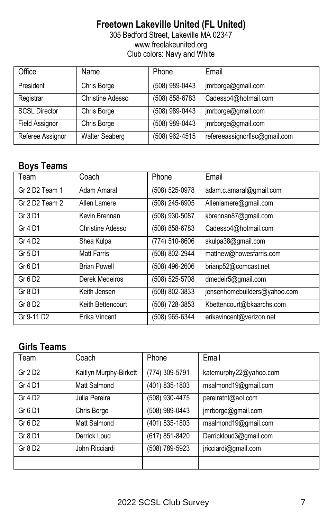## **Freetown Lakeville United (FL United)**

305 Bedford Street, Lakeville MA 02347 www.freelakeunited.org Club colors: Navy and White

| Office               | Name                  | Phone          | Email                         |
|----------------------|-----------------------|----------------|-------------------------------|
| President            | Chris Borge           | (508) 989-0443 | jmrborge@gmail.com            |
| Registrar            | Christine Adesso      | (508) 858-6783 | Cadesso4@hotmail.com          |
| <b>SCSL Director</b> | Chris Borge           | (508) 989-0443 | jmrborge@gmail.com            |
| Field Assignor       | Chris Borge           | (508) 989-0443 | jmrborge@gmail.com            |
| Referee Assignor     | <b>Walter Seaberg</b> | (508) 962-4515 | refereeassignorflsc@gmail.com |

## **Boys Teams**

| Team                       | Coach               | Phone          | Email                        |
|----------------------------|---------------------|----------------|------------------------------|
| Gr 2 D <sub>2</sub> Team 1 | Adam Amaral         | (508) 525-0978 | adam.c.amaral@gmail.com      |
| Gr 2 D2 Team 2             | Allen Lamere        | (508) 245-6905 | Allenlamere@gmail.com        |
| Gr 3 D1                    | Kevin Brennan       | (508) 930-5087 | kbrennan87@gmail.com         |
| Gr 4 D1                    | Christine Adesso    | (508) 858-6783 | Cadesso4@hotmail.com         |
| Gr 4 D <sub>2</sub>        | Shea Kulpa          | (774) 510-8606 | skulpa38@gmail.com           |
| Gr 5 D1                    | <b>Matt Farris</b>  | (508) 802-2944 | matthew@howesfarris.com      |
| Gr 6 D1                    | <b>Brian Powell</b> | (508) 496-2606 | brianp52@comcast.net         |
| Gr 6 D2                    | Derek Medeiros      | (508) 525-5708 | dmedeir5@gmail.com           |
| Gr 8 D1                    | Keith Jensen        | (508) 802-3833 | jensenhomebuilders@yahoo.com |
| Gr 8 D <sub>2</sub>        | Keith Bettencourt   | (508) 728-3853 | Kbettencourt@bkaarchs.com    |
| Gr 9-11 D <sub>2</sub>     | Erika Vincent       | (508) 965-6344 | erikavincent@verizon.net     |

| Team                | Coach                  | Phone          | Email                  |
|---------------------|------------------------|----------------|------------------------|
| Gr $2D2$            | Kaitlyn Murphy-Birkett | (774) 309-5791 | katemurphy22@yahoo.com |
| Gr 4 D1             | Matt Salmond           | (401) 835-1803 | msalmond19@gmail.com   |
| Gr 4 D <sub>2</sub> | Julia Pereira          | (508) 930-4475 | pereiratnt@aol.com     |
| Gr 6 D1             | Chris Borge            | (508) 989-0443 | jmrborge@gmail.com     |
| Gr $6D2$            | Matt Salmond           | (401) 835-1803 | msalmond19@gmail.com   |
| Gr 8 D1             | Derrick Loud           | (617) 851-8420 | Derrickloud3@gmail.com |
| Gr $8D2$            | John Ricciardi         | (508) 789-5923 | jricciardi@gmail.com   |
|                     |                        |                |                        |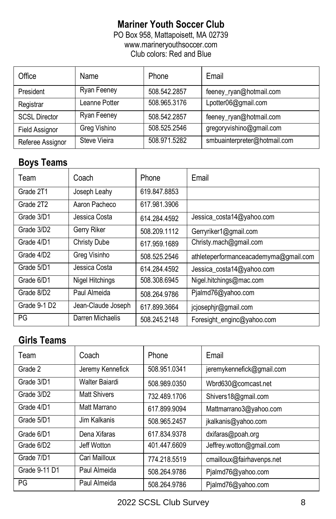# **Mariner Youth Soccer Club**

PO Box 958, Mattapoisett, MA 02739 www.marineryouthsoccer.com Club colors: Red and Blue

| Office               | Name          | Phone        | Email                        |
|----------------------|---------------|--------------|------------------------------|
| President            | Ryan Feeney   | 508.542.2857 | feeney_ryan@hotmail.com      |
| Registrar            | Leanne Potter | 508.965.3176 | Lpotter06@gmail.com          |
| <b>SCSL Director</b> | Ryan Feeney   | 508.542.2857 | feeney_ryan@hotmail.com      |
| Field Assignor       | Greg Vishino  | 508.525.2546 | gregoryvishino@gmail.com     |
| Referee Assignor     | Steve Vieira  | 508.971.5282 | smbuainterpreter@hotmail.com |

## **Boys Teams**

| Team         | Coach               | Phone        | Email                                 |
|--------------|---------------------|--------------|---------------------------------------|
| Grade 2T1    | Joseph Leahy        | 619.847.8853 |                                       |
| Grade 2T2    | Aaron Pacheco       | 617.981.3906 |                                       |
| Grade 3/D1   | Jessica Costal      | 614.284.4592 | Jessica costa14@yahoo.com             |
| Grade 3/D2   | Gerry Riker         | 508.209.1112 | Gerryriker1@gmail.com                 |
| Grade 4/D1   | <b>Christy Dube</b> | 617.959.1689 | Christy.mach@gmail.com                |
| Grade 4/D2   | Greg Visinho        | 508.525.2546 | athleteperformanceacademyma@gmail.com |
| Grade 5/D1   | Jessica Costa       | 614.284.4592 | Jessica_costa14@yahoo.com             |
| Grade 6/D1   | Nigel Hitchings     | 508.308.6945 | Nigel.hitchings@mac.com               |
| Grade 8/D2   | Paul Almeida        | 508.264.9786 | Pjalmd76@yahoo.com                    |
| Grade 9-1 D2 | Jean-Claude Joseph  | 617.899.3664 | jcjosephjr@gmail.com                  |
| PG           | Darren Michaelis    | 508.245.2148 | Foresight_enginc@yahoo.com            |

| Team          | Coach               | Phone        | Email                     |
|---------------|---------------------|--------------|---------------------------|
| Grade 2       | Jeremy Kennefick    | 508.951.0341 | jeremykennefick@gmail.com |
| Grade 3/D1    | Walter Baiardi      | 508.989.0350 | Wbrd630@comcast.net       |
| Grade 3/D2    | <b>Matt Shivers</b> | 732.489.1706 | Shivers18@gmail.com       |
| Grade 4/D1    | Matt Marrano        | 617.899.9094 | Mattmarrano3@yahoo.com    |
| Grade 5/D1    | Jim Kalkanis        | 508.965.2457 | jkalkanis@yahoo.com       |
| Grade 6/D1    | Dena Xifaras        | 617.834.9378 | dxifaras@poah.org         |
| Grade 6/D2    | Jeff Wotton         | 401.447.6609 | Jeffrey.wotton@gmail.com  |
| Grade 7/D1    | Cari Mailloux       | 774.218.5519 | cmailloux@fairhavenps.net |
| Grade 9-11 D1 | Paul Almeida        | 508.264.9786 | Pjalmd76@yahoo.com        |
| PG            | Paul Almeida        | 508.264.9786 | Pialmd76@yahoo.com        |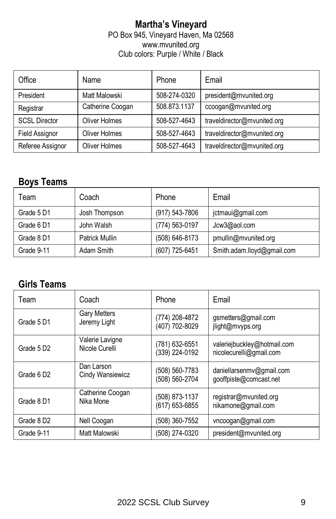#### **Martha's Vineyard** PO Box 945, Vineyard Haven, Ma 02568 www.mvunited.org Club colors: Purple / White / Black

| Office               | Name                 | Phone        | Email                       |
|----------------------|----------------------|--------------|-----------------------------|
| President            | Matt Malowski        | 508-274-0320 | president@mvunited.org      |
| Registrar            | Catherine Coogan     | 508.873.1137 | ccoogan@mvunited.org        |
| <b>SCSL Director</b> | Oliver Holmes        | 508-527-4643 | traveldirector@mvunited.org |
| Field Assignor       | <b>Oliver Holmes</b> | 508-527-4643 | traveldirector@mvunited.org |
| Referee Assignor     | <b>Oliver Holmes</b> | 508-527-4643 | traveldirector@mvunited.org |

### **Boys Teams**

| Team       | Coach          | Phone              | Email                      |
|------------|----------------|--------------------|----------------------------|
| Grade 5 D1 | Josh Thompson  | $(917) 543 - 7806$ | jctmaui@gmail.com          |
| Grade 6D1  | John Walsh     | (774) 563-0197     | Jcw3@aol.com               |
| Grade 8D1  | Patrick Mullin | (508) 646-8173     | pmullin@mvunited.org       |
| Grade 9-11 | Adam Smith     | (607) 725-6451     | Smith.adam.lloyd@gmail.com |

| Team                  | Coach               | Phone          | Email                       |
|-----------------------|---------------------|----------------|-----------------------------|
| Grade 5D1             | <b>Gary Metters</b> | (774) 208-4872 | gsmetters@gmail.com         |
|                       | Jeremy Light        | (407) 702-8029 | jlight@mvyps.org            |
| Grade 5D2             | Valerie Lavigne     | (781) 632-6551 | valeriejbuckley@hotmail.com |
|                       | Nicole Curelli      | (339) 224-0192 | nicolecurelli@gmail.com     |
| Grade 6D2             | Dan Larson          | (508) 560-7783 | daniellarsenmv@gmail.com    |
|                       | Cindy Wansiewicz    | (508) 560-2704 | gooffpiste@comcast.net      |
| Grade 8D1             | Catherine Coogan    | (508) 873-1137 | registrar@mvunited.org      |
|                       | Nika Mone           | (617) 653-6855 | nikamone@gmail.com          |
| Grade 8D <sub>2</sub> | Nell Coogan         | (508) 360-7552 | vncoogan@gmail.com          |
| Grade 9-11            | Matt Malowski       | (508) 274-0320 | president@mvunited.org      |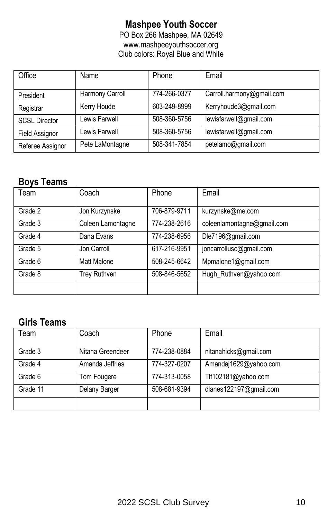## **Mashpee Youth Soccer**

PO Box 266 Mashpee, MA 02649 www.mashpeeyouthsoccer.org Club colors: Royal Blue and White

| Office               | Name            | Phone        | Email                     |
|----------------------|-----------------|--------------|---------------------------|
| President            | Harmony Carroll | 774-266-0377 | Carroll.harmony@gmail.com |
| Registrar            | Kerry Houde     | 603-249-8999 | Kerryhoude3@gmail.com     |
| <b>SCSL Director</b> | Lewis Farwell   | 508-360-5756 | lewisfarwell@gmail.com    |
| Field Assignor       | Lewis Farwell   | 508-360-5756 | lewisfarwell@gmail.com    |
| Referee Assignor     | Pete LaMontagne | 508-341-7854 | petelamo@gmail.com        |

### **Boys Teams**

| ⊺eam    | Coach             | Phone        | Email                      |
|---------|-------------------|--------------|----------------------------|
| Grade 2 | Jon Kurzynske     | 706-879-9711 | kurzynske@me.com           |
| Grade 3 | Coleen Lamontagne | 774-238-2616 | coleenlamontagne@gmail.com |
| Grade 4 | Dana Evans        | 774-238-6956 | Dle7196@gmail.com          |
| Grade 5 | Jon Carroll       | 617-216-9951 | joncarrollusc@gmail.com    |
| Grade 6 | Matt Malone       | 508-245-6642 | Mpmalone1@gmail.com        |
| Grade 8 | Trey Ruthven      | 508-846-5652 | Hugh_Ruthven@yahoo.com     |
|         |                   |              |                            |

| Team     | Coach            | Phone        | Email                  |
|----------|------------------|--------------|------------------------|
| Grade 3  | Nitana Greendeer | 774-238-0884 | nitanahicks@gmail.com  |
| Grade 4  | Amanda Jeffries  | 774-327-0207 | Amandaj1629@yahoo.com  |
| Grade 6  | Tom Fougere      | 774-313-0058 | Tlf102181@yahoo.com    |
| Grade 11 | Delany Barger    | 508-681-9394 | dlanes122197@gmail.com |
|          |                  |              |                        |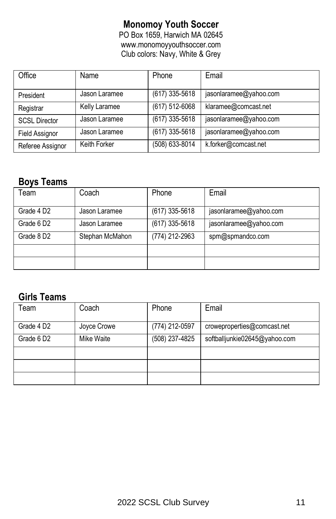## **Monomoy Youth Soccer**

PO Box 1659, Harwich MA 02645 www.monomoyyouthsoccer.com Club colors: Navy, White & Grey

| Office               | Name          | Phone              | Email                  |
|----------------------|---------------|--------------------|------------------------|
|                      |               |                    |                        |
| President            | Jason Laramee | $(617)$ 335-5618   | jasonlaramee@yahoo.com |
| Registrar            | Kelly Laramee | (617) 512-6068     | klaramee@comcast.net   |
| <b>SCSL Director</b> | Jason Laramee | $(617)$ 335-5618   | jasonlaramee@yahoo.com |
| Field Assignor       | Jason Laramee | $(617)$ 335-5618   | jasonlaramee@yahoo.com |
| Referee Assignor     | Keith Forker  | $(508) 633 - 8014$ | k.forker@comcast.net   |

### **Boys Teams**

| Team                   | Coach           | Phone            | Email                  |
|------------------------|-----------------|------------------|------------------------|
| Grade 4 D <sub>2</sub> | Jason Laramee   | $(617)$ 335-5618 | jasonlaramee@yahoo.com |
| Grade 6D2              | Jason Laramee   | $(617)$ 335-5618 | jasonlaramee@yahoo.com |
| Grade 8D2              | Stephan McMahon | (774) 212-2963   | spm@spmandco.com       |
|                        |                 |                  |                        |
|                        |                 |                  |                        |

| Team                   | Coach       | Phone          | Email                         |
|------------------------|-------------|----------------|-------------------------------|
|                        |             |                |                               |
| Grade 4 D <sub>2</sub> | Joyce Crowe | (774) 212-0597 | croweproperties@comcast.net   |
| Grade 6D2              | Mike Waite  | (508) 237-4825 | softballjunkie02645@yahoo.com |
|                        |             |                |                               |
|                        |             |                |                               |
|                        |             |                |                               |
|                        |             |                |                               |
|                        |             |                |                               |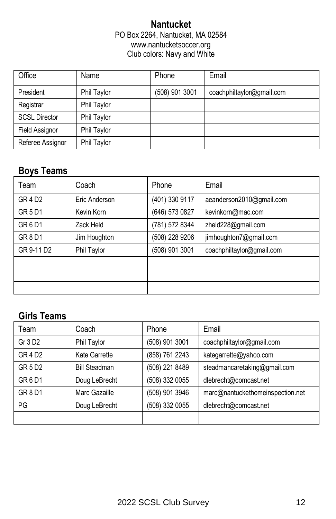#### **Nantucket** PO Box 2264, Nantucket, MA 02584 www.nantucketsoccer.org Club colors: Navy and White

| Office               | Name        | Phone          | Email                     |
|----------------------|-------------|----------------|---------------------------|
| President            | Phil Taylor | (508) 901 3001 | coachphiltaylor@gmail.com |
| Registrar            | Phil Taylor |                |                           |
| <b>SCSL Director</b> | Phil Taylor |                |                           |
| Field Assignor       | Phil Taylor |                |                           |
| Referee Assignor     | Phil Taylor |                |                           |

## **Boys Teams**

| Team                | Coach         | Phone          | Email                     |
|---------------------|---------------|----------------|---------------------------|
| GR 4 D <sub>2</sub> | Eric Anderson | (401) 330 9117 | aeanderson2010@gmail.com  |
| <b>GR 5 D1</b>      | Kevin Korn    | (646) 573 0827 | kevinkorn@mac.com         |
| <b>GR6D1</b>        | Zack Held     | (781) 572 8344 | zheld228@gmail.com        |
| <b>GR 8 D1</b>      | Jim Houghton  | (508) 228 9206 | jimhoughton7@gmail.com    |
| GR 9-11 D2          | Phil Taylor   | (508) 901 3001 | coachphiltaylor@gmail.com |
|                     |               |                |                           |
|                     |               |                |                           |
|                     |               |                |                           |

| Team                | Coach                | Phone          | Email                            |
|---------------------|----------------------|----------------|----------------------------------|
| Gr 3 D <sub>2</sub> | Phil Taylor          | (508) 901 3001 | coachphiltaylor@gmail.com        |
| GR 4 D <sub>2</sub> | Kate Garrette        | (858) 761 2243 | kategarrette@yahoo.com           |
| GR 5 D2             | <b>Bill Steadman</b> | (508) 221 8489 | steadmancaretaking@gmail.com     |
| GR 6 D1             | Doug LeBrecht        | (508) 332 0055 | dlebrecht@comcast.net            |
| <b>GR 8 D1</b>      | Marc Gazaille        | (508) 901 3946 | marc@nantuckethomeinspection.net |
| PG                  | Doug LeBrecht        | (508) 332 0055 | dlebrecht@comcast.net            |
|                     |                      |                |                                  |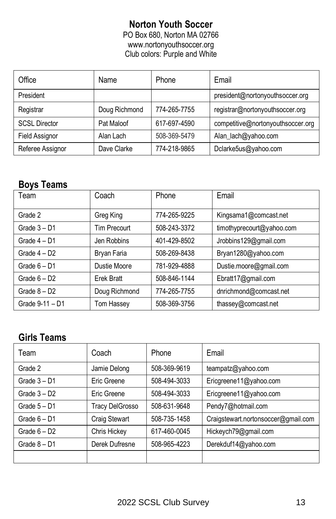# **Norton Youth Soccer**

PO Box 680, Norton MA 02766 www.nortonyouthsoccer.org Club colors: Purple and White

| Office               | Name          | Phone        | Email                             |
|----------------------|---------------|--------------|-----------------------------------|
| President            |               |              | president@nortonyouthsoccer.org   |
| Registrar            | Doug Richmond | 774-265-7755 | registrar@nortonyouthsoccer.org   |
| <b>SCSL Director</b> | Pat Maloof    | 617-697-4590 | competitive@nortonyouthsoccer.org |
| Field Assignor       | Alan Lach     | 508-369-5479 | Alan_lach@yahoo.com               |
| Referee Assignor     | Dave Clarke   | 774-218-9865 | Dclarke5us@yahoo.com              |

## **Boys Teams**

| Team            | Coach             | Phone        | Email                     |
|-----------------|-------------------|--------------|---------------------------|
| Grade 2         | Greg King         | 774-265-9225 | Kingsama1@comcast.net     |
| Grade $3 - D1$  | Tim Precourt      | 508-243-3372 | timothyprecourt@yahoo.com |
| Grade $4 - D1$  | Jen Robbins       | 401-429-8502 | Jrobbins129@gmail.com     |
| Grade $4-D2$    | Bryan Faria       | 508-269-8438 | Bryan1280@yahoo.com       |
| Grade $6 - D1$  | Dustie Moore      | 781-929-4888 | Dustie.moore@gmail.com    |
| Grade $6 - D2$  | Erek Bratt        | 508-846-1144 | Ebratt17@gmail.com        |
| Grade $8 - D2$  | Doug Richmond     | 774-265-7755 | dnrichmond@comcast.net    |
| Grade 9-11 - D1 | <b>Tom Hassey</b> | 508-369-3756 | thassey@comcast.net       |

| Team           | Coach           | Phone        | Email                               |
|----------------|-----------------|--------------|-------------------------------------|
| Grade 2        | Jamie Delong    | 508-369-9619 | teampatz@yahoo.com                  |
| Grade $3 - D1$ | Eric Greene     | 508-494-3033 | Ericgreene11@yahoo.com              |
| Grade $3 - D2$ | Eric Greene     | 508-494-3033 | Ericgreene11@yahoo.com              |
| Grade $5 - D1$ | Tracy DelGrosso | 508-631-9648 | Pendy7@hotmail.com                  |
| Grade $6 - D1$ | Craig Stewart   | 508-735-1458 | Craigstewart.nortonsoccer@gmail.com |
| Grade $6 - D2$ | Chris Hickey    | 617-460-0045 | Hickeych79@gmail.com                |
| Grade $8 - D1$ | Derek Dufresne  | 508-965-4223 | Derekduf14@yahoo.com                |
|                |                 |              |                                     |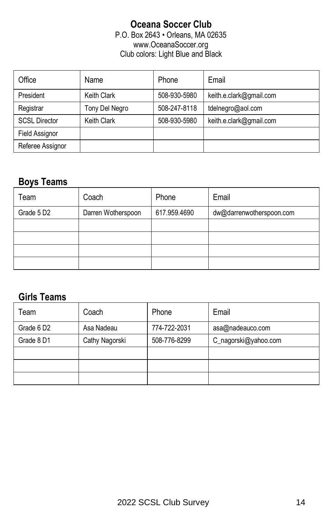#### **Oceana Soccer Club** P.O. Box 2643 • Orleans, MA 02635 www.OceanaSoccer.org Club colors: Light Blue and Black

| Office               | Name               | Phone        | Email                   |
|----------------------|--------------------|--------------|-------------------------|
| President            | <b>Keith Clark</b> | 508-930-5980 | keith.e.clark@gmail.com |
| Registrar            | Tony Del Negro     | 508-247-8118 | tdelnegro@aol.com       |
| <b>SCSL Director</b> | <b>Keith Clark</b> | 508-930-5980 | keith.e.clark@gmail.com |
| Field Assignor       |                    |              |                         |
| Referee Assignor     |                    |              |                         |

### **Boys Teams**

| Team      | Coach              | Phone        | Email                    |
|-----------|--------------------|--------------|--------------------------|
| Grade 5D2 | Darren Wotherspoon | 617.959.4690 | dw@darrenwotherspoon.com |
|           |                    |              |                          |
|           |                    |              |                          |
|           |                    |              |                          |
|           |                    |              |                          |

| Team       | Coach          | Phone        | Email                |
|------------|----------------|--------------|----------------------|
| Grade 6D2  | Asa Nadeau     | 774-722-2031 | asa@nadeauco.com     |
| Grade 8 D1 | Cathy Nagorski | 508-776-8299 | C_nagorski@yahoo.com |
|            |                |              |                      |
|            |                |              |                      |
|            |                |              |                      |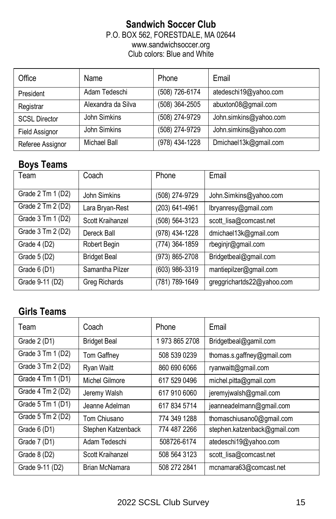#### **Sandwich Soccer Club** P.O. BOX 562, FORESTDALE, MA 02644 www.sandwichsoccer.org Club colors: Blue and White

| Office               | Name               | Phone          | Email                  |
|----------------------|--------------------|----------------|------------------------|
| President            | Adam Tedeschi      | (508) 726-6174 | atedeschi19@yahoo.com  |
| Registrar            | Alexandra da Silva | (508) 364-2505 | abuxton08@gmail.com    |
| <b>SCSL Director</b> | John Simkins       | (508) 274-9729 | John.simkins@yahoo.com |
| Field Assignor       | John Simkins       | (508) 274-9729 | John.simkins@yahoo.com |
| Referee Assignor     | Michael Ball       | (978) 434-1228 | Dmichael13k@gmail.com  |

## **Boys Teams**

| Team              | Coach               | Phone          | Email                      |
|-------------------|---------------------|----------------|----------------------------|
| Grade 2 Tm 1 (D2) | John Simkins        | (508) 274-9729 | John.Simkins@yahoo.com     |
| Grade 2 Tm 2 (D2) | Lara Bryan-Rest     | (203) 641-4961 | lbryanresy@gmail.com       |
| Grade 3 Tm 1 (D2) | Scott Kraihanzel    | (508) 564-3123 | scott_lisa@comcast.net     |
| Grade 3 Tm 2 (D2) | Dereck Ball         | (978) 434-1228 | dmichael13k@gmail.com      |
| Grade 4 (D2)      | Robert Begin        | (774) 364-1859 | rbeginjr@gmail.com         |
| Grade 5 (D2)      | <b>Bridget Beal</b> | (973) 865-2708 | Bridgetbeal@gmail.com      |
| Grade 6 (D1)      | Samantha Pilzer     | (603) 986-3319 | mantiepilzer@gmail.com     |
| Grade 9-11 (D2)   | Greg Richards       | (781) 789-1649 | greggrichartds22@yahoo.com |

| Team                                | Coach               | Phone         | Email                        |
|-------------------------------------|---------------------|---------------|------------------------------|
| Grade 2 (D1)                        | <b>Bridget Beal</b> | 1973 865 2708 | Bridgetbeal@gamil.com        |
| Grade $3$ Tm $1$ (D2)               | Tom Gaffney         | 508 539 0239  | thomas.s.gaffney@gmail.com   |
| Grade 3 Tm 2 (D2)                   | Ryan Waitt          | 860 690 6066  | ryanwaitt@gmail.com          |
| Grade $4 \text{ Tm} 1 \text{ (D1)}$ | Michel Gilmore      | 617 529 0496  | michel.pitta@gmail.com       |
| Grade 4 Tm 2 (D2)                   | Jeremy Walsh        | 617 910 6060  | jeremyjwalsh@gmail.com       |
| Grade 5 Tm 1 (D1)                   | Jeanne Adelman      | 617 834 5714  | jeanneadelmann@gmail.com     |
| Grade 5 Tm 2 (D2)                   | Tom Chiusano        | 774 349 1288  | thomaschiusano0@gmail.com    |
| Grade 6 (D1)                        | Stephen Katzenback  | 774 487 2266  | stephen.katzenback@gmail.com |
| Grade 7 (D1)                        | Adam Tedeschi       | 508726-6174   | atedeschi19@yahoo.com        |
| Grade 8 (D2)                        | Scott Kraihanzel    | 508 564 3123  | scott_lisa@comcast.net       |
| Grade 9-11 (D2)                     | Brian McNamara      | 508 272 2841  | mcnamara63@comcast.net       |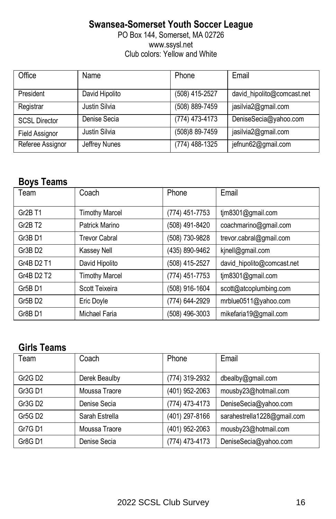### **Swansea-Somerset Youth Soccer League**

PO Box 144, Somerset, MA 02726 www.ssysl.net Club colors: Yellow and White

| Office               | Name           | Phone           | Email                      |
|----------------------|----------------|-----------------|----------------------------|
| President            | David Hipolito | (508) 415-2527  | david_hipolito@comcast.net |
| Registrar            | Justin Silvia  | (508) 889-7459  | jasilvia2@gmail.com        |
| <b>SCSL Director</b> | Denise Secia   | (774) 473-4173  | DeniseSecia@yahoo.com      |
| Field Assignor       | Justin Silvia  | (508) 8 89-7459 | jasilvia2@gmail.com        |
| Referee Assignor     | Jeffrey Nunes  | (774) 488-1325  | jefnun62@gmail.com         |

### **Boys Teams**

| Team                             | Coach                 | Phone          | Email                      |
|----------------------------------|-----------------------|----------------|----------------------------|
| Gr <sub>2</sub> B T <sub>1</sub> | <b>Timothy Marcel</b> | (774) 451-7753 | tim8301@gmail.com          |
| Gr <sub>2</sub> B T <sub>2</sub> | Patrick Marino        | (508) 491-8420 | coachmarino@gmail.com      |
| Gr3B <sub>D1</sub>               | <b>Trevor Cabral</b>  | (508) 730-9828 | trevor.cabral@gmail.com    |
| Gr3B D <sub>2</sub>              | Kassey Nell           | (435) 890-9462 | kjnell@gmail.com           |
| Gr4B D2 T1                       | David Hipolito        | (508) 415-2527 | david_hipolito@comcast.net |
| Gr4B D2 T2                       | <b>Timothy Marcel</b> | (774) 451-7753 | tim8301@gmail.com          |
| Gr5B <sub>D1</sub>               | Scott Teixeira        | (508) 916-1604 | scott@atcoplumbing.com     |
| Gr5B <sub>D2</sub>               | Eric Doyle            | (774) 644-2929 | mrblue0511@yahoo.com       |
| Gr8B D1                          | Michael Faria         | (508) 496-3003 | mikefaria19@gmail.com      |

| Team                            | Coach          | Phone          | Email                       |
|---------------------------------|----------------|----------------|-----------------------------|
| Gr <sub>2G</sub> D <sub>2</sub> | Derek Beaulby  | (774) 319-2932 | dbealby@gmail.com           |
| Gr3G D1                         | Moussa Traore  | (401) 952-2063 | mousby23@hotmail.com        |
| Gr3G D <sub>2</sub>             | Denise Secia   | (774) 473-4173 | DeniseSecia@yahoo.com       |
| Gr5G D <sub>2</sub>             | Sarah Estrella | (401) 297-8166 | sarahestrella1228@gmail.com |
| Gr7G D1                         | Moussa Traore  | (401) 952-2063 | mousby23@hotmail.com        |
| Gr8G D1                         | Denise Secia   | (774) 473-4173 | DeniseSecia@yahoo.com       |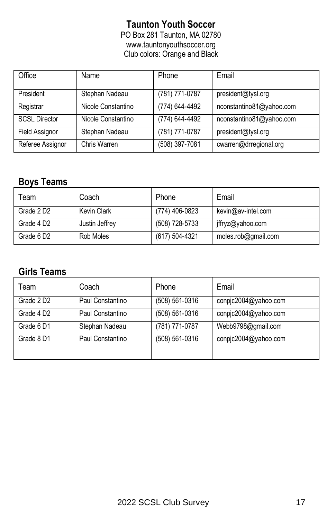# **Taunton Youth Soccer**

PO Box 281 Taunton, MA 02780 www.tauntonyouthsoccer.org Club colors: Orange and Black

| Office               | Name               | Phone          | Email                    |
|----------------------|--------------------|----------------|--------------------------|
| President            | Stephan Nadeau     | (781) 771-0787 | president@tysl.org       |
| Registrar            | Nicole Constantino | (774) 644-4492 | nconstantino81@yahoo.com |
| <b>SCSL Director</b> | Nicole Constantino | (774) 644-4492 | nconstantino81@yahoo.com |
| Field Assignor       | Stephan Nadeau     | (781) 771-0787 | president@tysl.org       |
| Referee Assignor     | Chris Warren       | (508) 397-7081 | cwarren@drregional.org   |

### **Boys Teams**

| Team                   | Coach              | Phone          | Email               |
|------------------------|--------------------|----------------|---------------------|
| Grade 2D <sub>2</sub>  | <b>Kevin Clark</b> | (774) 406-0823 | kevin@av-intel.com  |
| Grade 4 D <sub>2</sub> | Justin Jeffrey     | (508) 728-5733 | jffryz@yahoo.com    |
| Grade 6D <sub>2</sub>  | Rob Moles          | (617) 504-4321 | moles.rob@gmail.com |

| Team                   | Coach            | Phone          | Email                |
|------------------------|------------------|----------------|----------------------|
| Grade 2D <sub>2</sub>  | Paul Constantino | (508) 561-0316 | conpjc2004@yahoo.com |
| Grade 4 D <sub>2</sub> | Paul Constantino | (508) 561-0316 | conpjc2004@yahoo.com |
| Grade 6D1              | Stephan Nadeau   | (781) 771-0787 | Webb9798@gmail.com   |
| Grade 8 D1             | Paul Constantino | (508) 561-0316 | conpjc2004@yahoo.com |
|                        |                  |                |                      |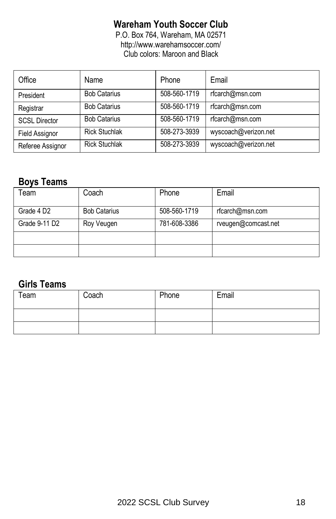# **Wareham Youth Soccer Club**

P.O. Box 764, Wareham, MA 02571 http://www.warehamsoccer.com/ Club colors: Maroon and Black

| Office               | Name                 | Phone        | Email                |
|----------------------|----------------------|--------------|----------------------|
| President            | <b>Bob Catarius</b>  | 508-560-1719 | rfcarch@msn.com      |
| Registrar            | <b>Bob Catarius</b>  | 508-560-1719 | rfcarch@msn.com      |
| <b>SCSL Director</b> | <b>Bob Catarius</b>  | 508-560-1719 | rfcarch@msn.com      |
| Field Assignor       | <b>Rick Stuchlak</b> | 508-273-3939 | wyscoach@verizon.net |
| Referee Assignor     | <b>Rick Stuchlak</b> | 508-273-3939 | wyscoach@verizon.net |

### **Boys Teams**

| Team                      | Coach               | Phone        | Email               |
|---------------------------|---------------------|--------------|---------------------|
| Grade 4D <sub>2</sub>     | <b>Bob Catarius</b> | 508-560-1719 | rfcarch@msn.com     |
| Grade 9-11 D <sub>2</sub> | Roy Veugen          | 781-608-3386 | rveugen@comcast.net |
|                           |                     |              |                     |
|                           |                     |              |                     |

| Team | Coach | Phone | Email |
|------|-------|-------|-------|
|      |       |       |       |
|      |       |       |       |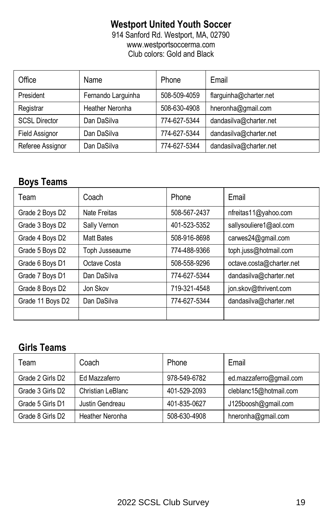## **Westport United Youth Soccer**

914 Sanford Rd. Westport, MA, 02790 www.westportsoccerma.com Club colors: Gold and Black

| Office               | Name               | Phone        | Email                  |
|----------------------|--------------------|--------------|------------------------|
| President            | Fernando Larguinha | 508-509-4059 | flarguinha@charter.net |
| Registrar            | Heather Neronha    | 508-630-4908 | hneronha@gmail.com     |
| <b>SCSL Director</b> | Dan DaSilva        | 774-627-5344 | dandasilva@charter.net |
| Field Assignor       | Dan DaSilva        | 774-627-5344 | dandasilva@charter.net |
| Referee Assignor     | Dan DaSilva        | 774-627-5344 | dandasilva@charter.net |

### **Boys Teams**

| Team             | Coach             | Phone        | Email                    |
|------------------|-------------------|--------------|--------------------------|
| Grade 2 Boys D2  | Nate Freitas      | 508-567-2437 | nfreitas11@yahoo.com     |
| Grade 3 Boys D2  | Sally Vernon      | 401-523-5352 | sallysouliere1@aol.com   |
| Grade 4 Boys D2  | <b>Matt Bates</b> | 508-916-8698 | carwes24@gmail.com       |
| Grade 5 Boys D2  | Toph Jusseaume    | 774-488-9366 | toph.juss@hotmail.com    |
| Grade 6 Boys D1  | Octave Costa      | 508-558-9296 | octave.costa@charter.net |
| Grade 7 Boys D1  | Dan DaSilva       | 774-627-5344 | dandasilva@charter.net   |
| Grade 8 Boys D2  | Jon Skov          | 719-321-4548 | jon.skov@thrivent.com    |
| Grade 11 Boys D2 | Dan DaSilva       | 774-627-5344 | dandasilva@charter.net   |
|                  |                   |              |                          |

| Team             | Coach             | Phone        | Email                   |
|------------------|-------------------|--------------|-------------------------|
| Grade 2 Girls D2 | Ed Mazzaferro     | 978-549-6782 | ed.mazzaferro@gmail.com |
| Grade 3 Girls D2 | Christian LeBlanc | 401-529-2093 | cleblanc15@hotmail.com  |
| Grade 5 Girls D1 | Justin Gendreau   | 401-835-0627 | J125boosh@gmail.com     |
| Grade 8 Girls D2 | Heather Neronha   | 508-630-4908 | hneronha@gmail.com      |